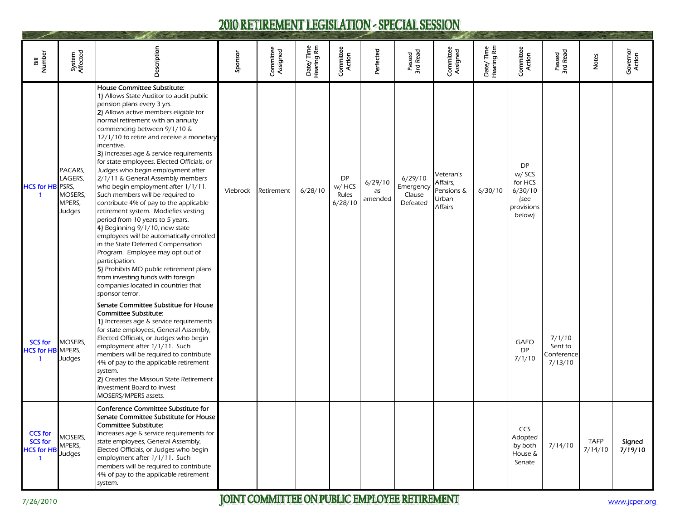## 2010 RETIREMENT LEGISLATION - SPECIAL SESSION

| Bill<br>Number                                        | System<br>Affected                                | Description                                                                                                                                                                                                                                                                                                                                                                                                                                                                                                                                                                                                                                                                                                                                                                                                                                                                                                                                                        | Sponsor  | Committee<br>Assigned | Date/Time<br>Hearing Rm | Committee<br>Action                     | Perfected                | Passed<br>3rd Read                         | Committee<br>Assigned                                   | Date/Time<br>Hearing Rm | Committee<br>Action                                                       | Passed<br>3rd Read                         | Notes                  | Governor<br>Action |
|-------------------------------------------------------|---------------------------------------------------|--------------------------------------------------------------------------------------------------------------------------------------------------------------------------------------------------------------------------------------------------------------------------------------------------------------------------------------------------------------------------------------------------------------------------------------------------------------------------------------------------------------------------------------------------------------------------------------------------------------------------------------------------------------------------------------------------------------------------------------------------------------------------------------------------------------------------------------------------------------------------------------------------------------------------------------------------------------------|----------|-----------------------|-------------------------|-----------------------------------------|--------------------------|--------------------------------------------|---------------------------------------------------------|-------------------------|---------------------------------------------------------------------------|--------------------------------------------|------------------------|--------------------|
| <b>HCS for HB PSRS,</b><br>$\mathbf{1}$               | PACARS,<br>LAGERS,<br>MOSERS,<br>MPERS,<br>Judges | House Committee Substitute:<br>1) Allows State Auditor to audit public<br>pension plans every 3 yrs.<br>2) Allows active members eligible for<br>normal retirement with an annuity<br>commencing between 9/1/10 &<br>12/1/10 to retire and receive a monetary<br>incentive.<br>3) Increases age & service requirements<br>for state employees, Elected Officials, or<br>Judges who begin employment after<br>2/1/11 & General Assembly members<br>who begin employment after 1/1/11.<br>Such members will be required to<br>contribute 4% of pay to the applicable<br>retirement system. Modiefies vesting<br>period from 10 years to 5 years.<br>4) Beginning 9/1/10, new state<br>employees will be automatically enrolled<br>in the State Deferred Compensation<br>Program. Employee may opt out of<br>participation.<br>5) Prohibits MO public retirement plans<br>from investing funds with foreign<br>companies located in countries that<br>sponsor terror. | Viebrock | Retirement            | 6/28/10                 | <b>DP</b><br>w/ HCS<br>Rules<br>6/28/10 | 6/29/10<br>as<br>amended | 6/29/10<br>Emergency<br>Clause<br>Defeated | Veteran's<br>Affairs,<br>Pensions &<br>Urban<br>Affairs | 6/30/10                 | <b>DP</b><br>w/ SCS<br>for HCS<br>6/30/10<br>(see<br>provisions<br>below) |                                            |                        |                    |
| <b>SCS for</b><br><b>HCS for HB</b> MPERS,<br>-1      | MOSERS,<br>Judges                                 | Senate Committee Substitue for House<br>Committee Substitute:<br>1) Increases age & service requirements<br>for state employees, General Assembly,<br>Elected Officials, or Judges who begin<br>employment after 1/1/11. Such<br>members will be required to contribute<br>4% of pay to the applicable retirement<br>system.<br>2) Creates the Missouri State Retirement<br>Investment Board to invest<br>MOSERS/MPERS assets.                                                                                                                                                                                                                                                                                                                                                                                                                                                                                                                                     |          |                       |                         |                                         |                          |                                            |                                                         |                         | GAFO<br><b>DP</b><br>7/1/10                                               | 7/1/10<br>Sent to<br>Conference<br>7/13/10 |                        |                    |
| <b>CCS for</b><br><b>SCS for</b><br><b>HCS for HB</b> | MOSERS,<br>MPERS,<br>Judges                       | Conference Committee Substitute for<br>Senate Committee Substitute for House<br>Committee Substitute:<br>Increases age & service requirements for<br>state employees, General Assembly,<br>Elected Officials, or Judges who begin<br>employment after 1/1/11. Such<br>members will be required to contribute<br>4% of pay to the applicable retirement<br>system.                                                                                                                                                                                                                                                                                                                                                                                                                                                                                                                                                                                                  |          |                       |                         |                                         |                          |                                            |                                                         |                         | CCS<br>Adopted<br>by both<br>House &<br>Senate                            | 7/14/10                                    | <b>TAFP</b><br>7/14/10 | Signed<br>7/19/10  |